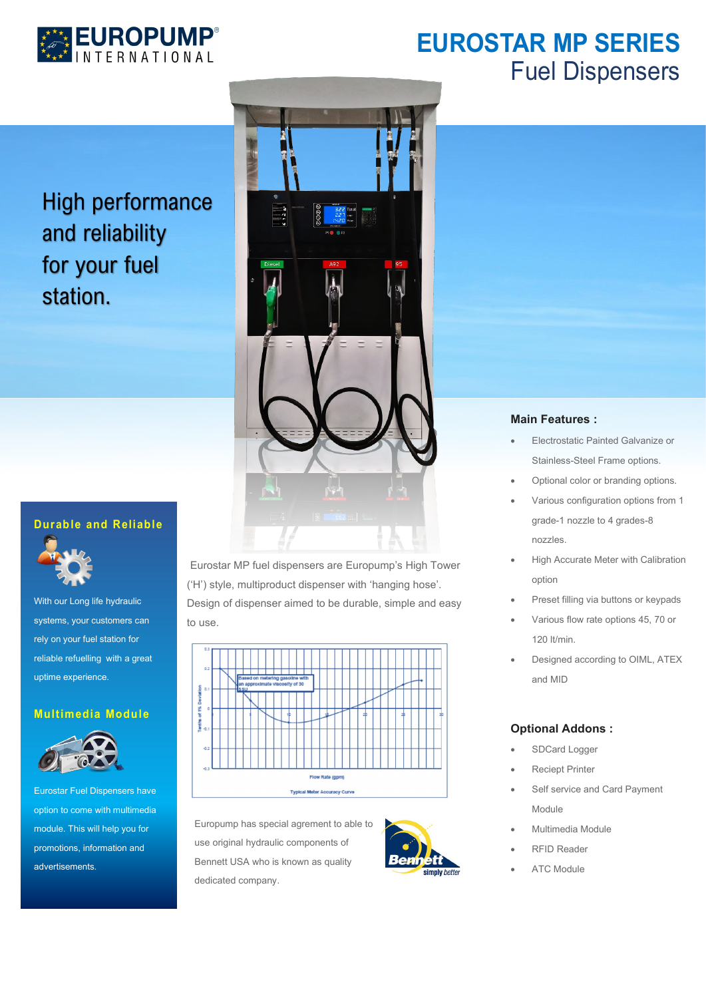

## **EUROSTAR MP SERIES** Fuel Dispensers

High performance and reliability for your fuel station.

### **Durable and Reliable**



With our Long life hydraulic systems, your customers can rely on your fuel station for reliable refuelling with a great uptime experience.

### **Multimedia Module**



Eurostar Fuel Dispensers have option to come with multimedia module. This will help you for promotions, information and advertisements.



Eurostar MP fuel dispensers are Europump's High Tower ('H') style, multiproduct dispenser with 'hanging hose'. Design of dispenser aimed to be durable, simple and easy to use.



Europump has special agrement to able to use original hydraulic components of Bennett USA who is known as quality dedicated company.



#### **Main Features :**

- Electrostatic Painted Galvanize or Stainless-Steel Frame options.
- Optional color or branding options.
- Various configuration options from 1 grade-1 nozzle to 4 grades-8 nozzles.
- High Accurate Meter with Calibration option
- Preset filling via buttons or keypads
- Various flow rate options 45, 70 or 120 lt/min.
- Designed according to OIML, ATEX and MID

### **Optional Addons :**

- SDCard Logger
- **Reciept Printer**
- Self service and Card Payment Module
- Multimedia Module
- RFID Reader
- ATC Module